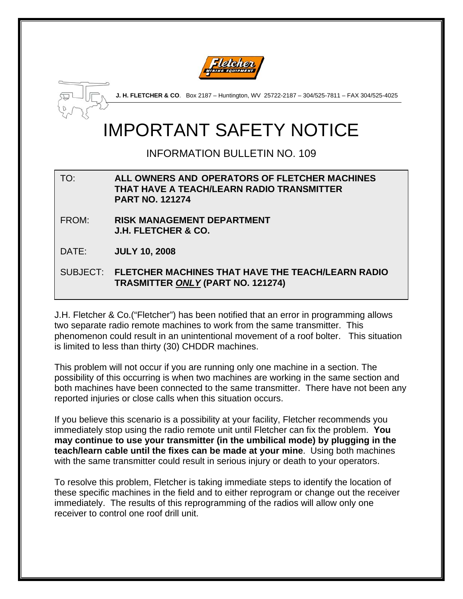



**J. H. FLETCHER & CO**. Box 2187 – Huntington, WV 25722-2187 – 304/525-7811 – FAX 304/525-4025

# IMPORTANT SAFETY NOTICE

INFORMATION BULLETIN NO. 109

## TO: **ALL OWNERS AND OPERATORS OF FLETCHER MACHINES THAT HAVE A TEACH/LEARN RADIO TRANSMITTER PART NO. 121274**

FROM: **RISK MANAGEMENT DEPARTMENT J.H. FLETCHER & CO.** 

DATE: **JULY 10, 2008** 

# SUBJECT: **FLETCHER MACHINES THAT HAVE THE TEACH/LEARN RADIO TRASMITTER** *ONLY* **(PART NO. 121274)**

J.H. Fletcher & Co.("Fletcher") has been notified that an error in programming allows two separate radio remote machines to work from the same transmitter. This phenomenon could result in an unintentional movement of a roof bolter. This situation is limited to less than thirty (30) CHDDR machines.

This problem will not occur if you are running only one machine in a section. The possibility of this occurring is when two machines are working in the same section and both machines have been connected to the same transmitter. There have not been any reported injuries or close calls when this situation occurs.

If you believe this scenario is a possibility at your facility, Fletcher recommends you immediately stop using the radio remote unit until Fletcher can fix the problem. **You may continue to use your transmitter (in the umbilical mode) by plugging in the teach/learn cable until the fixes can be made at your mine**. Using both machines with the same transmitter could result in serious injury or death to your operators.

To resolve this problem, Fletcher is taking immediate steps to identify the location of these specific machines in the field and to either reprogram or change out the receiver immediately. The results of this reprogramming of the radios will allow only one receiver to control one roof drill unit.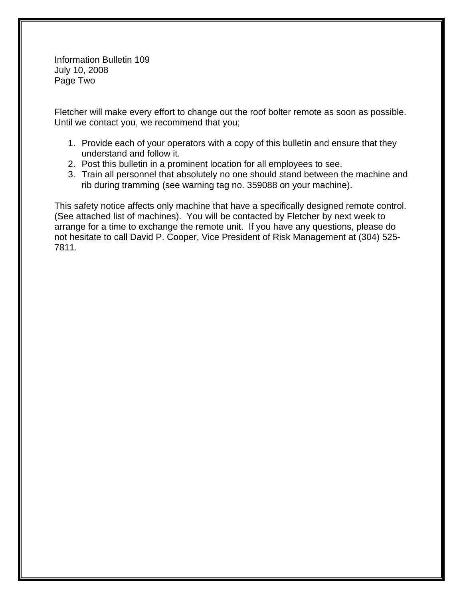Information Bulletin 109 July 10, 2008 Page Two

Fletcher will make every effort to change out the roof bolter remote as soon as possible. Until we contact you, we recommend that you;

- 1. Provide each of your operators with a copy of this bulletin and ensure that they understand and follow it.
- 2. Post this bulletin in a prominent location for all employees to see.
- 3. Train all personnel that absolutely no one should stand between the machine and rib during tramming (see warning tag no. 359088 on your machine).

This safety notice affects only machine that have a specifically designed remote control. (See attached list of machines). You will be contacted by Fletcher by next week to arrange for a time to exchange the remote unit. If you have any questions, please do not hesitate to call David P. Cooper, Vice President of Risk Management at (304) 525- 7811.